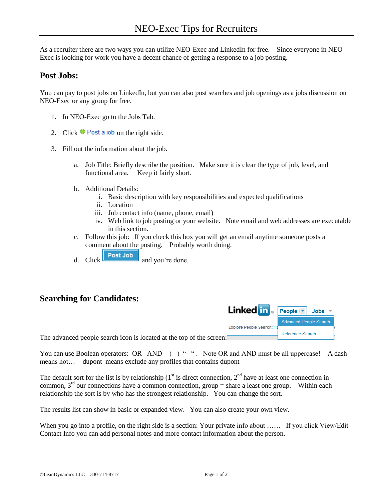As a recruiter there are two ways you can utilize NEO-Exec and LinkedIn for free. Since everyone in NEO-Exec is looking for work you have a decent chance of getting a response to a job posting.

## **Post Jobs:**

You can pay to post jobs on LinkedIn, but you can also post searches and job openings as a jobs discussion on NEO-Exec or any group for free.

- 1. In NEO-Exec go to the Jobs Tab.
- 2. Click  $\bullet$  Post a job on the right side.
- 3. Fill out the information about the job.
	- a. Job Title: Briefly describe the position. Make sure it is clear the type of job, level, and functional area. Keep it fairly short.
	- b. Additional Details:
		- i. Basic description with key responsibilities and expected qualifications
		- ii. Location
		- iii. Job contact info (name, phone, email)
		- iv. Web link to job posting or your website. Note email and web addresses are executable in this section.
	- c. Follow this job: If you check this box you will get an email anytime someone posts a comment about the posting. Probably worth doing.
	- d. Click  $\sqrt{\frac{\text{Post Job}}{\text{and you're done}}$ .

## **Searching for Candidates:**

| Linked in <b>People</b>          |                               | Jobs |
|----------------------------------|-------------------------------|------|
|                                  | <b>Advanced People Search</b> |      |
| <b>Explore People Search: Ha</b> |                               |      |
|                                  | Reference Search              |      |

The advanced people search icon is located at the top of the screen:

You can use Boolean operators: OR AND - () " ". Note OR and AND must be all uppercase! A dash means not… -dupont means exclude any profiles that contains dupont

The default sort for the list is by relationship  $(1<sup>st</sup>$  is direct connection,  $2<sup>nd</sup>$  have at least one connection in common,  $3<sup>rd</sup>$  our connections have a common connection, group = share a least one group. Within each relationship the sort is by who has the strongest relationship. You can change the sort.

The results list can show in basic or expanded view. You can also create your own view.

When you go into a profile, on the right side is a section: Your private info about ...... If you click View/Edit Contact Info you can add personal notes and more contact information about the person.